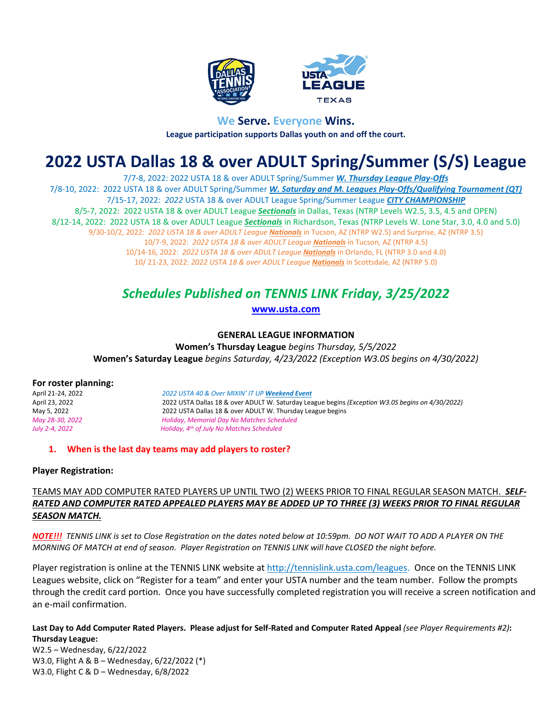



## **We Serve. Everyone Wins. League participation supports Dallas youth on and off the court.**

# **2022 USTA Dallas 18 & over ADULT Spring/Summer (S/S) League**

7/7-8, 2022: 2022 USTA 18 & over ADULT Spring/Summer *W. Thursday League Play-Offs* 7/8-10, 2022: 2022 USTA 18 & over ADULT Spring/Summer *W. Saturday and M. Leagues Play-Offs/Qualifying Tournament (QT)* 7/15-17, 2022: *2022* USTA 18 & over ADULT League Spring/Summer League *CITY CHAMPIONSHIP* 8/5-7, 2022: 2022 USTA 18 & over ADULT League *Sectionals* in Dallas, Texas (NTRP Levels W2.5, 3.5, 4.5 and OPEN) 8/12-14, 2022: 2022 USTA 18 & over ADULT League *Sectionals* in Richardson, Texas (NTRP Levels W. Lone Star, 3.0, 4.0 and 5.0) 9/30-10/2, 2022: *2022 USTA 18 & over ADULT League Nationals* in Tucson, AZ (NTRP W2.5) and Surprise, AZ (NTRP 3.5) 10/7-9, 2022: *2022 USTA 18 & over ADULT League Nationals* in Tucson, AZ (NTRP 4.5) 10/14-16, 2022: *2022 USTA 18 & over ADULT League Nationals* in Orlando, FL (NTRP 3.0 and 4.0) 10/ 21-23, 2022: *2022 USTA 18 & over ADULT League Nationals* in Scottsdale, AZ (NTRP 5.0)

## *Schedules Published on TENNIS LINK Friday, 3/25/2022*

## **[www.usta.com](http://www.usta.com/)**

## **GENERAL LEAGUE INFORMATION**

**Women's Thursday League** *begins Thursday, 5/5/2022*  **Women's Saturday League** *begins Saturday, 4/23/2022 (Exception W3.0S begins on 4/30/2022)*

#### **For roster planning:**

April 21-24, 2022 *2022 USTA 40 & Over MIXIN' IT UP Weekend Event* April 23, 2022 2022 USTA Dallas 18 & over ADULT W. Saturday League begins *(Exception W3.0S begins on 4/30/2022)* May 5, 2022 2022 USTA Dallas 18 & over ADULT W. Thursday League begins *May 28-30, 2022 Holiday, Memorial Day No Matches Scheduled July 2-4, 2022 Holiday, 4th of July No Matches Scheduled*

#### **1. When is the last day teams may add players to roster?**

#### **Player Registration:**

## TEAMS MAY ADD COMPUTER RATED PLAYERS UP UNTIL TWO (2) WEEKS PRIOR TO FINAL REGULAR SEASON MATCH.*SELF-RATED AND COMPUTER RATED APPEALED PLAYERS MAY BE ADDED UP TO THREE (3) WEEKS PRIOR TO FINAL REGULAR SEASON MATCH.*

*NOTE!!! TENNIS LINK is set to Close Registration on the dates noted below at 10:59pm. DO NOT WAIT TO ADD A PLAYER ON THE MORNING OF MATCH at end of season. Player Registration on TENNIS LINK will have CLOSED the night before.* 

Player registration is online at the TENNIS LINK website at [http://tennislink.usta.com/leagues.](http://tennislink.usta.com/leagues) Once on the TENNIS LINK Leagues website, click on "Register for a team" and enter your USTA number and the team number. Follow the prompts through the credit card portion. Once you have successfully completed registration you will receive a screen notification and an e-mail confirmation.

#### **Last Day to Add Computer Rated Players. Please adjust for Self-Rated and Computer Rated Appeal** *(see Player Requirements #2)***: Thursday League:**

W2.5 – Wednesday, 6/22/2022 W3.0, Flight A & B – Wednesday, 6/22/2022 (\*) W3.0, Flight C & D – Wednesday, 6/8/2022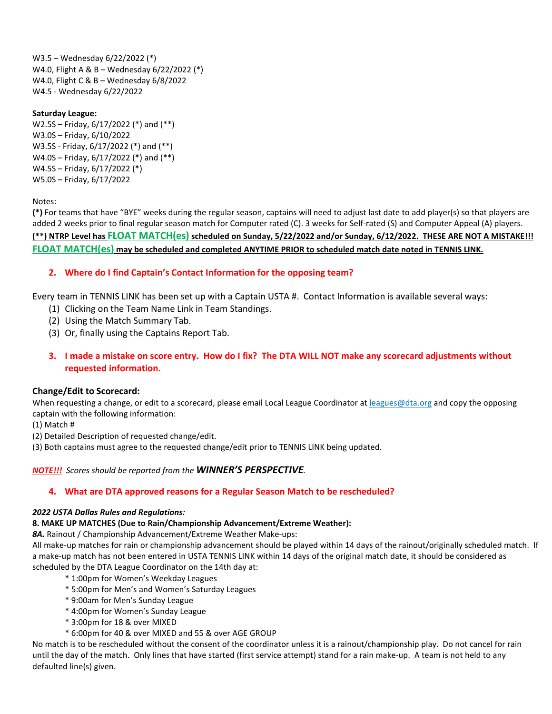W3.5 – Wednesday 6/22/2022 (\*) W4.0, Flight A & B – Wednesday 6/22/2022 (\*) W4.0, Flight C & B – Wednesday 6/8/2022 W4.5 - Wednesday 6/22/2022

#### **Saturday League:**

W2.5S – Friday, 6/17/2022 (\*) and (\*\*) W3.0S – Friday, 6/10/2022 W3.5S - Friday, 6/17/2022 (\*) and (\*\*) W4.0S – Friday, 6/17/2022 (\*) and (\*\*) W4.5S – Friday, 6/17/2022 (\*) W5.0S – Friday, 6/17/2022

Notes:

**(\*)** For teams that have "BYE" weeks during the regular season, captains will need to adjust last date to add player(s) so that players are added 2 weeks prior to final regular season match for Computer rated (C). 3 weeks for Self-rated (S) and Computer Appeal (A) players. **(\*\*) NTRP Level has FLOAT MATCH(es) scheduled on Sunday, 5/22/2022 and/or Sunday, 6/12/2022. THESE ARE NOT A MISTAKE!!! FLOAT MATCH(es) may be scheduled and completed ANYTIME PRIOR to scheduled match date noted in TENNIS LINK.**

## **2. Where do I find Captain's Contact Information for the opposing team?**

Every team in TENNIS LINK has been set up with a Captain USTA #. Contact Information is available several ways:

- (1) Clicking on the Team Name Link in Team Standings.
- (2) Using the Match Summary Tab.
- (3) Or, finally using the Captains Report Tab.
- **3. I made a mistake on score entry. How do I fix? The DTA WILL NOT make any scorecard adjustments without requested information.**

#### **Change/Edit to Scorecard:**

When requesting a change, or edit to a scorecard, please email Local League Coordinator at leagues@dta.org and copy the opposing captain with the following information:

(1) Match #

(2) Detailed Description of requested change/edit.

(3) Both captains must agree to the requested change/edit prior to TENNIS LINK being updated.

#### *NOTE!!! Scores should be reported from the WINNER'S PERSPECTIVE.*

#### **4. What are DTA approved reasons for a Regular Season Match to be rescheduled?**

#### *2022 USTA Dallas Rules and Regulations:*

#### **8. MAKE UP MATCHES (Due to Rain/Championship Advancement/Extreme Weather):**

*8A.* Rainout / Championship Advancement/Extreme Weather Make-ups:

All make-up matches for rain or championship advancement should be played within 14 days of the rainout/originally scheduled match. If a make-up match has not been entered in USTA TENNIS LINK within 14 days of the original match date, it should be considered as scheduled by the DTA League Coordinator on the 14th day at:

- \* 1:00pm for Women's Weekday Leagues
- \* 5:00pm for Men's and Women's Saturday Leagues
- \* 9:00am for Men's Sunday League
- \* 4:00pm for Women's Sunday League
- \* 3:00pm for 18 & over MIXED
- \* 6:00pm for 40 & over MIXED and 55 & over AGE GROUP

No match is to be rescheduled without the consent of the coordinator unless it is a rainout/championship play. Do not cancel for rain until the day of the match. Only lines that have started (first service attempt) stand for a rain make-up. A team is not held to any defaulted line(s) given.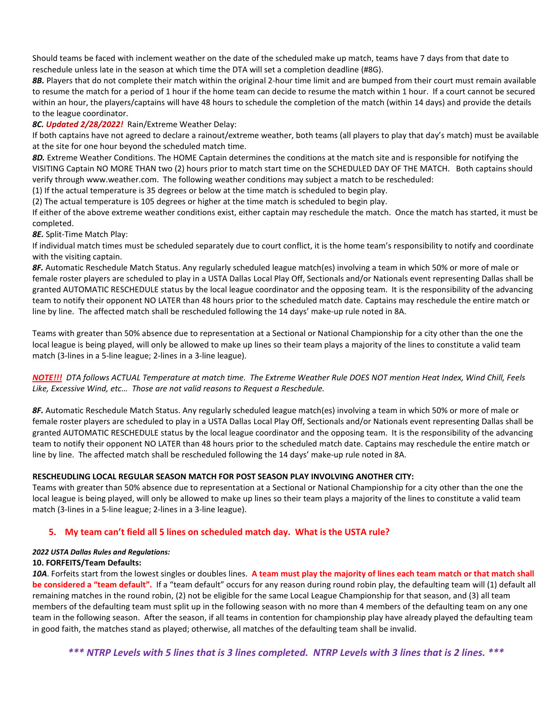Should teams be faced with inclement weather on the date of the scheduled make up match, teams have 7 days from that date to reschedule unless late in the season at which time the DTA will set a completion deadline (#8G).

*8B.* Players that do not complete their match within the original 2-hour time limit and are bumped from their court must remain available to resume the match for a period of 1 hour if the home team can decide to resume the match within 1 hour. If a court cannot be secured within an hour, the players/captains will have 48 hours to schedule the completion of the match (within 14 days) and provide the details to the league coordinator.

#### *8C. Updated 2/28/2022!* Rain/Extreme Weather Delay:

If both captains have not agreed to declare a rainout/extreme weather, both teams (all players to play that day's match) must be available at the site for one hour beyond the scheduled match time.

*8D.* Extreme Weather Conditions. The HOME Captain determines the conditions at the match site and is responsible for notifying the VISITING Captain NO MORE THAN two (2) hours prior to match start time on the SCHEDULED DAY OF THE MATCH. Both captains should verify through www.weather.com. The following weather conditions may subject a match to be rescheduled:

(1) If the actual temperature is 35 degrees or below at the time match is scheduled to begin play.

(2) The actual temperature is 105 degrees or higher at the time match is scheduled to begin play.

If either of the above extreme weather conditions exist, either captain may reschedule the match. Once the match has started, it must be completed.

*8E.* Split-Time Match Play:

If individual match times must be scheduled separately due to court conflict, it is the home team's responsibility to notify and coordinate with the visiting captain.

*8F.* Automatic Reschedule Match Status. Any regularly scheduled league match(es) involving a team in which 50% or more of male or female roster players are scheduled to play in a USTA Dallas Local Play Off, Sectionals and/or Nationals event representing Dallas shall be granted AUTOMATIC RESCHEDULE status by the local league coordinator and the opposing team. It is the responsibility of the advancing team to notify their opponent NO LATER than 48 hours prior to the scheduled match date. Captains may reschedule the entire match or line by line. The affected match shall be rescheduled following the 14 days' make-up rule noted in 8A.

Teams with greater than 50% absence due to representation at a Sectional or National Championship for a city other than the one the local league is being played, will only be allowed to make up lines so their team plays a majority of the lines to constitute a valid team match (3-lines in a 5-line league; 2-lines in a 3-line league).

*NOTE!!! DTA follows ACTUAL Temperature at match time. The Extreme Weather Rule DOES NOT mention Heat Index, Wind Chill, Feels Like, Excessive Wind, etc… Those are not valid reasons to Request a Reschedule.*

*8F.* Automatic Reschedule Match Status. Any regularly scheduled league match(es) involving a team in which 50% or more of male or female roster players are scheduled to play in a USTA Dallas Local Play Off, Sectionals and/or Nationals event representing Dallas shall be granted AUTOMATIC RESCHEDULE status by the local league coordinator and the opposing team. It is the responsibility of the advancing team to notify their opponent NO LATER than 48 hours prior to the scheduled match date. Captains may reschedule the entire match or line by line. The affected match shall be rescheduled following the 14 days' make-up rule noted in 8A.

#### **RESCHEUDLING LOCAL REGULAR SEASON MATCH FOR POST SEASON PLAY INVOLVING ANOTHER CITY:**

Teams with greater than 50% absence due to representation at a Sectional or National Championship for a city other than the one the local league is being played, will only be allowed to make up lines so their team plays a majority of the lines to constitute a valid team match (3-lines in a 5-line league; 2-lines in a 3-line league).

#### **5. My team can't field all 5 lines on scheduled match day. What is the USTA rule?**

#### *2022 USTA Dallas Rules and Regulations:*

#### **10. FORFEITS/Team Defaults:**

*10A*. Forfeits start from the lowest singles or doubles lines. **A team must play the majority of lines each team match or that match shall be considered a "team default".** If a "team default" occurs for any reason during round robin play, the defaulting team will (1) default all remaining matches in the round robin, (2) not be eligible for the same Local League Championship for that season, and (3) all team members of the defaulting team must split up in the following season with no more than 4 members of the defaulting team on any one team in the following season. After the season, if all teams in contention for championship play have already played the defaulting team in good faith, the matches stand as played; otherwise, all matches of the defaulting team shall be invalid.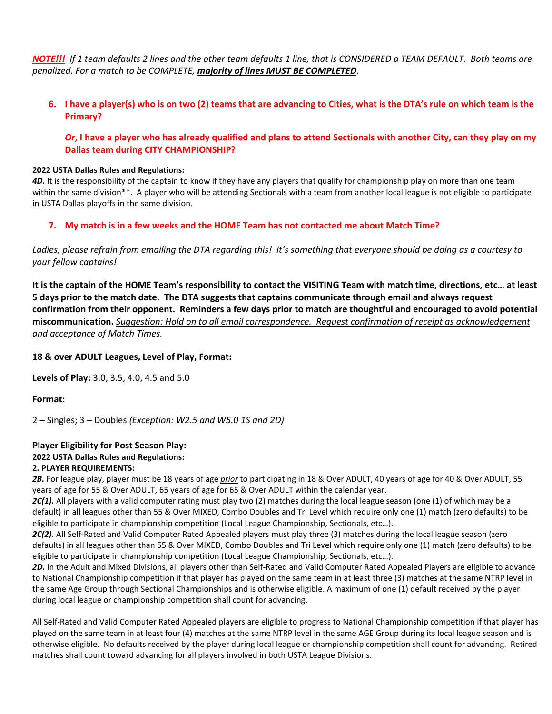*NOTE!!! If 1 team defaults 2 lines and the other team defaults 1 line, that is CONSIDERED a TEAM DEFAULT. Both teams are penalized. For a match to be COMPLETE, majority of lines MUST BE COMPLETED.* 

## **6. I have a player(s) who is on two (2) teams that are advancing to Cities, what is the DTA's rule on which team is the Primary?**

#### *Or***, I have a player who has already qualified and plans to attend Sectionals with another City, can they play on my Dallas team during CITY CHAMPIONSHIP?**

#### **2022 USTA Dallas Rules and Regulations:**

*4D.* It is the responsibility of the captain to know if they have any players that qualify for championship play on more than one team within the same division\*\*. A player who will be attending Sectionals with a team from another local league is not eligible to participate in USTA Dallas playoffs in the same division.

#### **7. My match is in a few weeks and the HOME Team has not contacted me about Match Time?**

*Ladies, please refrain from emailing the DTA regarding this! It's something that everyone should be doing as a courtesy to your fellow captains!*

**It is the captain of the HOME Team's responsibility to contact the VISITING Team with match time, directions, etc… at least 5 days prior to the match date. The DTA suggests that captains communicate through email and always request confirmation from their opponent. Reminders a few days prior to match are thoughtful and encouraged to avoid potential miscommunication.** *Suggestion: Hold on to all email correspondence. Request confirmation of receipt as acknowledgement and acceptance of Match Times.*

#### **18 & over ADULT Leagues, Level of Play, Format:**

**Levels of Play:** 3.0, 3.5, 4.0, 4.5 and 5.0

**Format:**

2 – Singles; 3 – Doubles *(Exception: W2.5 and W5.0 1S and 2D)*

#### **Player Eligibility for Post Season Play: 2022 USTA Dallas Rules and Regulations: 2. PLAYER REQUIREMENTS:**

*2B.* For league play, player must be 18 years of age *prior* to participating in 18 & Over ADULT, 40 years of age for 40 & Over ADULT, 55 years of age for 55 & Over ADULT, 65 years of age for 65 & Over ADULT within the calendar year.

*2C(1).* All players with a valid computer rating must play two (2) matches during the local league season (one (1) of which may be a default) in all leagues other than 55 & Over MIXED, Combo Doubles and Tri Level which require only one (1) match (zero defaults) to be eligible to participate in championship competition (Local League Championship, Sectionals, etc…).

2C(2). All Self-Rated and Valid Computer Rated Appealed players must play three (3) matches during the local league season (zero defaults) in all leagues other than 55 & Over MIXED, Combo Doubles and Tri Level which require only one (1) match (zero defaults) to be eligible to participate in championship competition (Local League Championship, Sectionals, etc…).

*2D.* In the Adult and Mixed Divisions, all players other than Self-Rated and Valid Computer Rated Appealed Players are eligible to advance to National Championship competition if that player has played on the same team in at least three (3) matches at the same NTRP level in the same Age Group through Sectional Championships and is otherwise eligible. A maximum of one (1) default received by the player during local league or championship competition shall count for advancing.

All Self-Rated and Valid Computer Rated Appealed players are eligible to progress to National Championship competition if that player has played on the same team in at least four (4) matches at the same NTRP level in the same AGE Group during its local league season and is otherwise eligible. No defaults received by the player during local league or championship competition shall count for advancing. Retired matches shall count toward advancing for all players involved in both USTA League Divisions.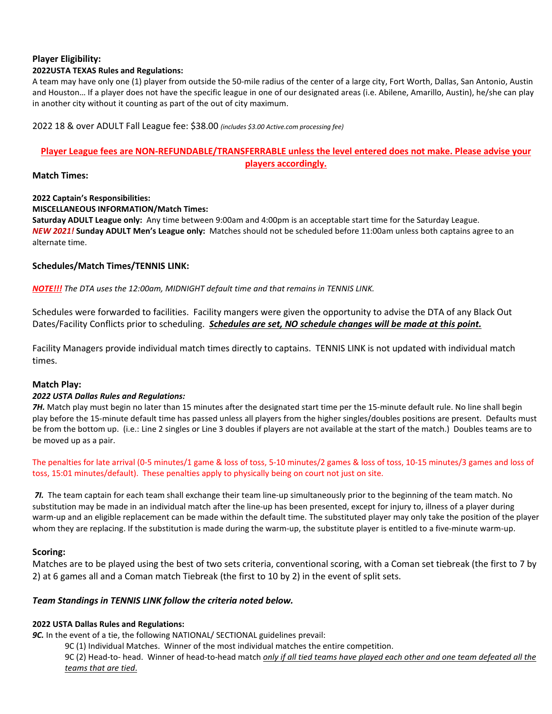## **Player Eligibility:**

#### **2022USTA TEXAS Rules and Regulations:**

A team may have only one (1) player from outside the 50-mile radius of the center of a large city, Fort Worth, Dallas, San Antonio, Austin and Houston… If a player does not have the specific league in one of our designated areas (i.e. Abilene, Amarillo, Austin), he/she can play in another city without it counting as part of the out of city maximum.

#### 2022 18 & over ADULT Fall League fee: \$38.00 *(includes \$3.00 Active.com processing fee)*

#### **Player League fees are NON-REFUNDABLE/TRANSFERRABLE unless the level entered does not make. Please advise your players accordingly.**

#### **Match Times:**

## **2022 Captain's Responsibilities:**

#### **MISCELLANEOUS INFORMATION/Match Times:**

**Saturday ADULT League only:** Any time between 9:00am and 4:00pm is an acceptable start time for the Saturday League. *NEW 2021!* **Sunday ADULT Men's League only:** Matches should not be scheduled before 11:00am unless both captains agree to an alternate time.

#### **Schedules/Match Times/TENNIS LINK:**

*NOTE!!! The DTA uses the 12:00am, MIDNIGHT default time and that remains in TENNIS LINK.*

Schedules were forwarded to facilities. Facility mangers were given the opportunity to advise the DTA of any Black Out Dates/Facility Conflicts prior to scheduling. *Schedules are set, NO schedule changes will be made at this point.*

Facility Managers provide individual match times directly to captains. TENNIS LINK is not updated with individual match times.

#### **Match Play:**

#### *2022 USTA Dallas Rules and Regulations:*

**7H.** Match play must begin no later than 15 minutes after the designated start time per the 15-minute default rule. No line shall begin play before the 15-minute default time has passed unless all players from the higher singles/doubles positions are present. Defaults must be from the bottom up. (i.e.: Line 2 singles or Line 3 doubles if players are not available at the start of the match.) Doubles teams are to be moved up as a pair.

The penalties for late arrival (0-5 minutes/1 game & loss of toss, 5-10 minutes/2 games & loss of toss, 10-15 minutes/3 games and loss of toss, 15:01 minutes/default). These penalties apply to physically being on court not just on site.

*7I.* The team captain for each team shall exchange their team line-up simultaneously prior to the beginning of the team match. No substitution may be made in an individual match after the line-up has been presented, except for injury to, illness of a player during warm-up and an eligible replacement can be made within the default time. The substituted player may only take the position of the player whom they are replacing. If the substitution is made during the warm-up, the substitute player is entitled to a five-minute warm-up.

#### **Scoring:**

Matches are to be played using the best of two sets criteria, conventional scoring, with a Coman set tiebreak (the first to 7 by 2) at 6 games all and a Coman match Tiebreak (the first to 10 by 2) in the event of split sets.

#### *Team Standings in TENNIS LINK follow the criteria noted below.*

#### **2022 USTA Dallas Rules and Regulations:**

*9C.* In the event of a tie, the following NATIONAL/ SECTIONAL guidelines prevail:

9C (1) Individual Matches. Winner of the most individual matches the entire competition.

9C (2) Head-to- head. Winner of head-to-head match *only if all tied teams have played each other and one team defeated all the teams that are tied*.